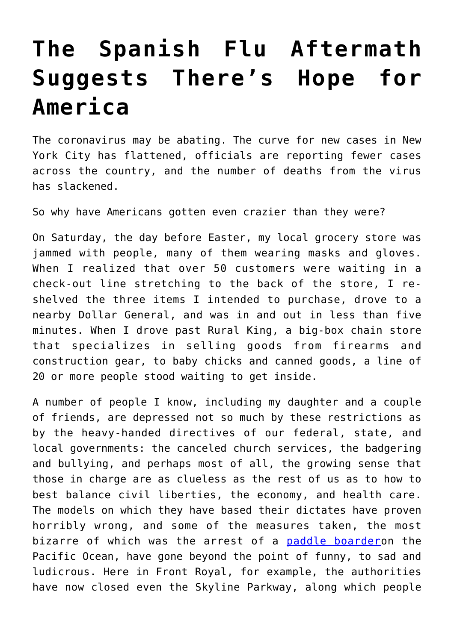## **[The Spanish Flu Aftermath](https://intellectualtakeout.org/2020/04/the-spanish-flu-aftermath-suggests-theres-hope-for-america/) [Suggests There's Hope for](https://intellectualtakeout.org/2020/04/the-spanish-flu-aftermath-suggests-theres-hope-for-america/) [America](https://intellectualtakeout.org/2020/04/the-spanish-flu-aftermath-suggests-theres-hope-for-america/)**

The coronavirus may be abating. The curve for new cases in New York City has flattened, officials are reporting fewer cases across the country, and the number of deaths from the virus has slackened.

So why have Americans gotten even crazier than they were?

On Saturday, the day before Easter, my local grocery store was jammed with people, many of them wearing masks and gloves. When I realized that over 50 customers were waiting in a check-out line stretching to the back of the store, I reshelved the three items I intended to purchase, drove to a nearby Dollar General, and was in and out in less than five minutes. When I drove past Rural King, a big-box chain store that specializes in selling goods from firearms and construction gear, to baby chicks and canned goods, a line of 20 or more people stood waiting to get inside.

A number of people I know, including my daughter and a couple of friends, are depressed not so much by these restrictions as by the heavy-handed directives of our federal, state, and local governments: the canceled church services, the badgering and bullying, and perhaps most of all, the growing sense that those in charge are as clueless as the rest of us as to how to best balance civil liberties, the economy, and health care. The models on which they have based their dictates have proven horribly wrong, and some of the measures taken, the most bizarre of which was the arrest of a [paddle boardero](https://www.latimes.com/california/story/2020-04-03/paddle-boarder-arrested-in-malibu-after-flouting-coronavirus-closures)n the Pacific Ocean, have gone beyond the point of funny, to sad and ludicrous. Here in Front Royal, for example, the authorities have now closed even the Skyline Parkway, along which people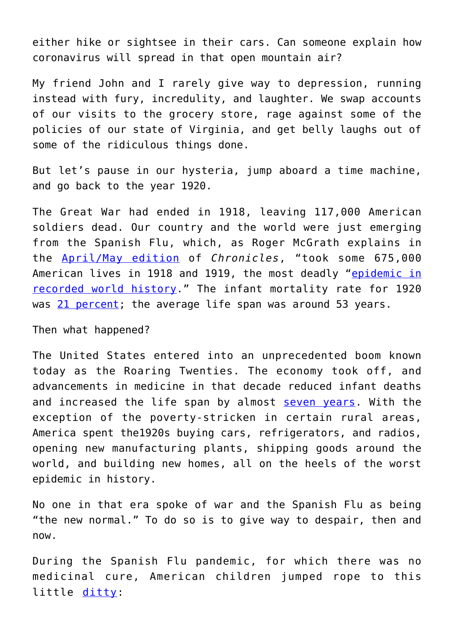either hike or sightsee in their cars. Can someone explain how coronavirus will spread in that open mountain air?

My friend John and I rarely give way to depression, running instead with fury, incredulity, and laughter. We swap accounts of our visits to the grocery store, rage against some of the policies of our state of Virginia, and get belly laughs out of some of the ridiculous things done.

But let's pause in our hysteria, jump aboard a time machine, and go back to the year 1920.

The Great War had ended in 1918, leaving 117,000 American soldiers dead. Our country and the world were just emerging from the Spanish Flu, which, as Roger McGrath explains in the [April/May edition](https://www.chroniclesmagazine.org/2020/April/44/4/magazine/article/10885051/) of *Chronicles*, "took some 675,000 American lives in 1918 and 1919, the most deadly ["epidemic in](https://virus.stanford.edu/uda/) [recorded world history.](https://virus.stanford.edu/uda/)" The infant mortality rate for 1920 was [21 percent](https://www.google.com/search?q=number+of+deaths+at+birth+1920&oq=number+of+deaths+at+birth+1920&aqs=chrome..69i57.22407j0j4&sourceid=chrome&ie=UTF-8); the average life span was around 53 years.

Then what happened?

The United States entered into an unprecedented boom known today as the Roaring Twenties. The economy took off, and advancements in medicine in that decade reduced infant deaths and increased the life span by almost [seven years](https://www.google.com/search?q=average+lifespan+in+1920&oq=average+life+span+for+1920&aqs=chrome.1.69i57j0l5.11495j1j9&sourceid=chrome&ie=UTF-8). With the exception of the poverty-stricken in certain rural areas, America spent the1920s buying cars, refrigerators, and radios, opening new manufacturing plants, shipping goods around the world, and building new homes, all on the heels of the worst epidemic in history.

No one in that era spoke of war and the Spanish Flu as being "the new normal." To do so is to give way to despair, then and now.

During the Spanish Flu pandemic, for which there was no medicinal cure, American children jumped rope to this little [ditty](https://virus.stanford.edu/uda/):